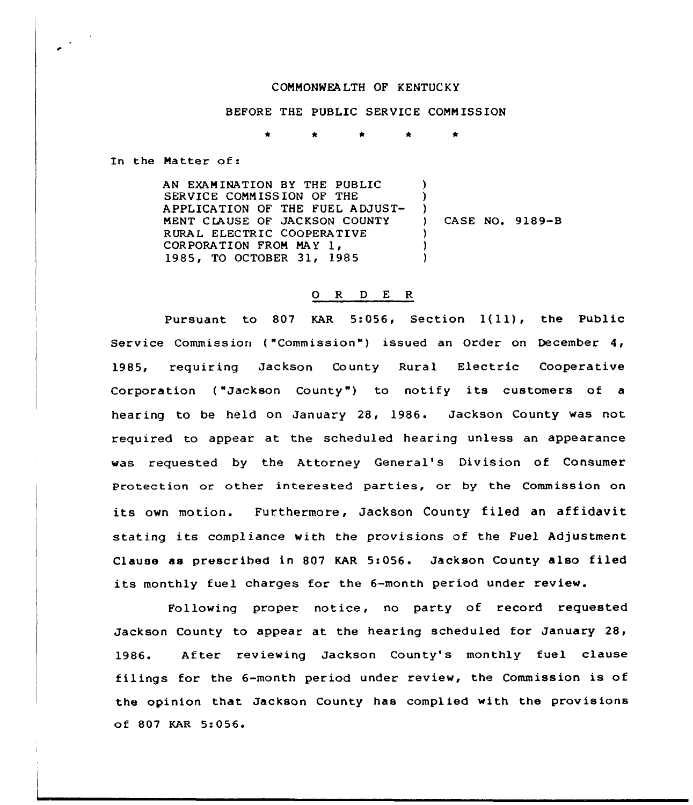## COMMONWEALTH OF KENTUCKY

BEFORE THE PUBLIC SERVICE COMM ISSION

In the Matter of:

AN EXAMINATION BY THE PUBLIC SERVICE COMMISSION OF THE APPLICATION OF THE FUEL ADJUST-MENT C IAUSE OF JACKSON COUNTY RURAL ELECTRIC COOPERATIVE CORPORATION FROM MAY 1, 1985, TO OCTOBER 31, 1985 ) ) ) } CASE NQ. 9189-B } ) )

## O R D E R

Pursuant to <sup>807</sup> KAR 5:056, Section 1(ll), the Public Service Commission ("Commission") issued an Order on December 4, 1985, requiring Jackson County Rural Electric Cooperative Corporation ("Jackson County") to notify its customers of a hearing to be held on January 28, 1986. Jackson County was not required to appear at the scheduled hearing unless an appearance was requested by the Attorney General's Division of Consumer Protection or other interested parties, or by the Commission on its own motion. Furthermore, Jackson County filed an affidavit stating its compliance with the provisions of the Fuel Adjustment Clause as prescribed in 807 KAR 5:056. Jackson County also filed its monthly fuel charges for the 6-month period under review.

Following proper notice, no party of record requested Jackson County to appear at the hearing scheduled for January  $28<sub>1</sub>$ 1986. After reviewing Jackson County's monthly fuel clause filings for the 6-month period under review, the Commission is of the opinion that Jackson County has complied with the provisions of 807 KAR 5:056 <sup>~</sup>